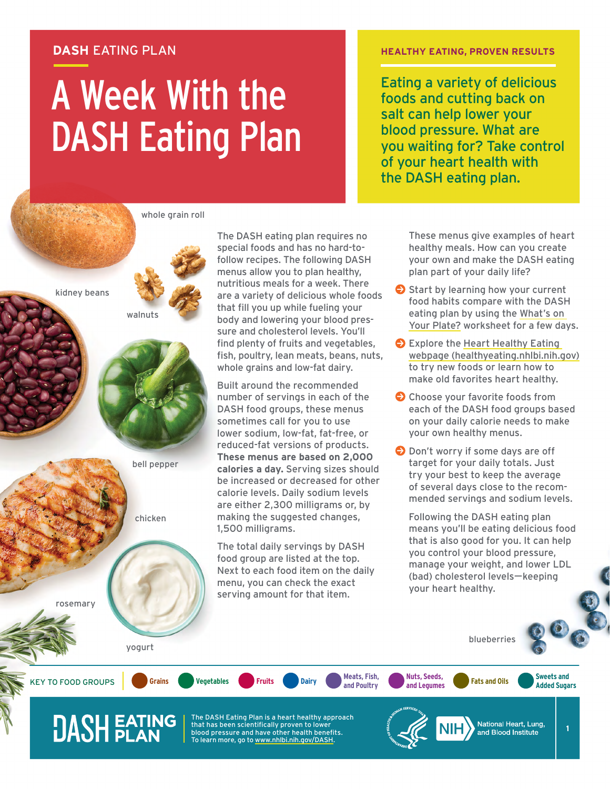#### **DASH** EATING PLAN

# A Week With the DASH Eating Plan

#### **HEALTHY EATING, PROVEN RESULTS**

Eating a variety of delicious foods and cutting back on salt can help lower your blood pressure. What are you waiting for? Take control of your heart health with the DASH eating plan.

whole grain roll

walnuts

bell pepper

chicken

The DASH eating plan requires no special foods and has no hard-tofollow recipes. The following DASH menus allow you to plan healthy, nutritious meals for a week. There are a variety of delicious whole foods that fill you up while fueling your body and lowering your blood pressure and cholesterol levels. You'll find plenty of fruits and vegetables, fish, poultry, lean meats, beans, nuts, whole grains and low-fat dairy.

Built around the recommended number of servings in each of the DASH food groups, these menus sometimes call for you to use lower sodium, low-fat, fat-free, or reduced-fat versions of products. **These menus are based on 2,000 calories a day.** Serving sizes should be increased or decreased for other calorie levels. Daily sodium levels are either 2,300 milligrams or, by making the suggested changes, 1,500 milligrams.

The total daily servings by DASH food group are listed at the top. Next to each food item on the daily menu, you can check the exact serving amount for that item.

**and Poultry**

These menus give examples of heart healthy meals. How can you create your own and make the DASH eating plan part of your daily life?

- Start by learning how your current food habits compare with the DASH eating plan by using the [What's on](http://www.nhlbi.nih.gov/DASH)  [Your Plate?](http://www.nhlbi.nih.gov/DASH) worksheet for a few days.
- **Explore the Heart Healthy Eating** [webpage \(healthyeating.nhlbi.nih.gov\)](http://healthyeating.nhlbi.nih.gov) to try new foods or learn how to make old favorites heart healthy.
- Choose your favorite foods from each of the DASH food groups based on your daily calorie needs to make your own healthy menus.
- **O** Don't worry if some days are off target for your daily totals. Just try your best to keep the average of several days close to the recommended servings and sodium levels.

Following the DASH eating plan means you'll be eating delicious food that is also good for you. It can help you control your blood pressure, manage your weight, and lower LDL (bad) cholesterol levels-keeping your heart healthy.

rosemary

kidney beans

yogurt

KEY TO FOOD GROUPS **Grains Vegetables Fruits Dairy Meats, Fish,** 

**DASH EATING** 

The DASH Eating Plan is a heart healthy approach that has been scientifically proven to lower blood pressure and have other health benefits. To learn more, go to [www.nhlbi.nih.gov/DASH.](http://www.nhlbi.nih.gov/DASH)



**and Legumes Fats and Oils Sweets and** 

blueberries

**Added Sugars**

**Nuts, Seeds,**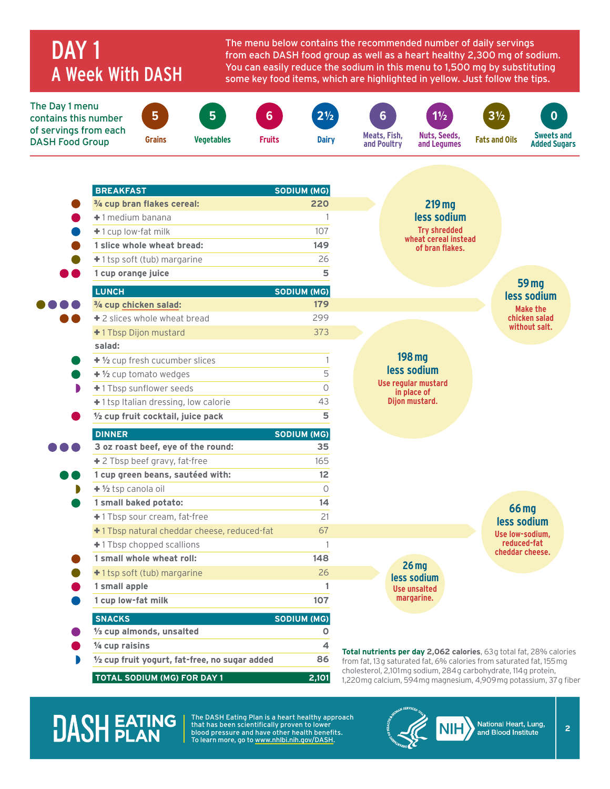### DAY<sub>1</sub> A Week With DASH

The menu below contains the recommended number of daily servings from each DASH food group as well as a heart healthy 2,300 mg of sodium. You can easily reduce the sodium in this menu to 1,500 mg by substituting some key food items, which are highlighted in yellow. Just follow the tips.



| <b>BREAKFAST</b>                               | SODIUM (MG)    |                                                                                                                                        |                             |
|------------------------------------------------|----------------|----------------------------------------------------------------------------------------------------------------------------------------|-----------------------------|
| 3/4 cup bran flakes cereal:                    | 220            | 219 mg                                                                                                                                 |                             |
| +1 medium banana                               | $\mathbf{1}$   | less sodium                                                                                                                            |                             |
| $+1$ cup low-fat milk                          | 107            | <b>Trv shredded</b><br>wheat cereal instead                                                                                            |                             |
| 1 slice whole wheat bread:                     | 149            | of bran flakes.                                                                                                                        |                             |
| $+1$ tsp soft (tub) margarine                  | 26             |                                                                                                                                        |                             |
| 1 cup orange juice                             | 5              |                                                                                                                                        |                             |
| <b>LUNCH</b>                                   | SODIUM (MG)    |                                                                                                                                        | <b>59 mg</b><br>less sodium |
| 3/4 cup chicken salad:                         | 179            |                                                                                                                                        | Make the                    |
| +2 slices whole wheat bread                    | 299            |                                                                                                                                        | chicken salad               |
| +1 Tbsp Dijon mustard                          | 373            |                                                                                                                                        | without salt.               |
| salad:                                         |                |                                                                                                                                        |                             |
| + 1/2 cup fresh cucumber slices                | $\mathbf{1}$   | 198 mg                                                                                                                                 |                             |
| $+$ $\frac{1}{2}$ cup tomato wedges            | 5              | less sodium                                                                                                                            |                             |
| +1 Tbsp sunflower seeds                        | $\overline{O}$ | Use regular mustard<br>in place of                                                                                                     |                             |
| +1 tsp Italian dressing, low calorie           | 43             | Dijon mustard.                                                                                                                         |                             |
| 1/2 cup fruit cocktail, juice pack             | 5              |                                                                                                                                        |                             |
| <b>DINNER</b>                                  | SODIUM (MG)    |                                                                                                                                        |                             |
| 3 oz roast beef, eye of the round:             | 35             |                                                                                                                                        |                             |
| +2 Tbsp beef gravy, fat-free                   | 165            |                                                                                                                                        |                             |
| 1 cup green beans, sautéed with:               | 12             |                                                                                                                                        |                             |
| $+$ 1/2 tsp canola oil                         | $\Omega$       |                                                                                                                                        |                             |
| 1 small baked potato:                          | 14             |                                                                                                                                        | <b>66 mg</b>                |
| +1 Tbsp sour cream, fat-free                   | 21             |                                                                                                                                        | less sodium                 |
| +1 Tbsp natural cheddar cheese, reduced-fat    | 67             |                                                                                                                                        | Use low-sodium.             |
| +1 Tbsp chopped scallions                      | 1              |                                                                                                                                        | reduced-fat                 |
| 1 small whole wheat roll:                      | 148            |                                                                                                                                        | cheddar cheese.             |
| +1 tsp soft (tub) margarine                    | 26             | 26 <sub>mg</sub><br>less sodium                                                                                                        |                             |
| 1 small apple                                  | 1              | <b>Use unsalted</b>                                                                                                                    |                             |
| 1 cup low-fat milk                             | 107            | margarine.                                                                                                                             |                             |
| <b>SNACKS</b>                                  | SODIUM (MG)    |                                                                                                                                        |                             |
| 1/3 cup almonds, unsalted                      | O              |                                                                                                                                        |                             |
| 1/4 cup raisins                                | 4              | Total nutrients per day 2,062 calories, 63g total fat, 28% calories                                                                    |                             |
| 1/2 cup fruit yogurt, fat-free, no sugar added | 86             | from fat, 13g saturated fat, 6% calories from saturated fat, 155 mg                                                                    |                             |
| TOTAL SODIUM (MG) FOR DAY 1                    | 2,101          | cholesterol, 2,101 mg sodium, 284 g carbohydrate, 114 g protein,<br>1,220 mg calcium, 594 mg magnesium, 4,909 mg potassium, 37 g fiber |                             |

### **DASH EATING**

The DASH Eating Plan is a heart healthy approach that has been scientifically proven to lower blood pressure and have other health benefits. To learn more, go to [www.nhlbi.nih.gov/DASH.](http://www.nhlbi.nih.gov/DASH)



**2**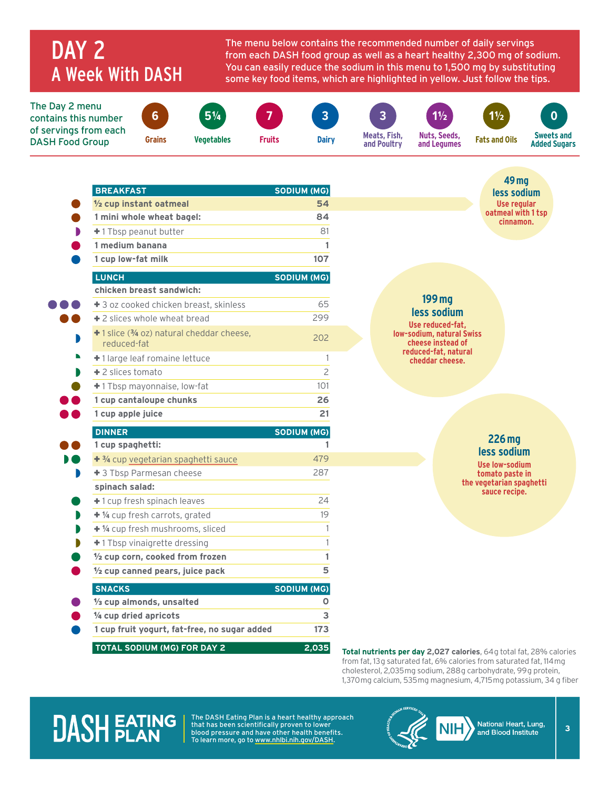### DAY 2 A Week With DASH

The menu below contains the recommended number of daily servings from each DASH food group as well as a heart healthy 2,300 mg of sodium. You can easily reduce the sodium in this menu to 1,500 mg by substituting some key food items, which are highlighted in yellow. Just follow the tips.

The Day 2 menu contains this number of servings from each DASH Food Group

C



**6**

**7**

**Fruits Dairy**

**3**



**Nuts, Seeds, and Legumes**

**1**½ **1**½ **Fats and Oils**

**0 Sweets and** 

**Added Sugars**

| <b>BREAKFAST</b>                                         | SODIUM (MG)    | <b>49 mg</b><br>less sodium                           |
|----------------------------------------------------------|----------------|-------------------------------------------------------|
| 1/2 cup instant oatmeal                                  | 54             | Use regular                                           |
| 1 mini whole wheat bagel:                                | 84             | oatmeal with 1 tsp<br>cinnamon.                       |
| +1 Tbsp peanut butter                                    | 81             |                                                       |
| 1 medium banana                                          | 1              |                                                       |
| 1 cup low-fat milk                                       | 107            |                                                       |
| <b>LUNCH</b>                                             | SODIUM (MG)    |                                                       |
| chicken breast sandwich:                                 |                |                                                       |
| + 3 oz cooked chicken breast, skinless                   | 65             | 199 mg<br>less sodium                                 |
| $\pm$ 2 slices whole wheat bread                         | 299            | Use reduced-fat.                                      |
| +1 slice (3/4 oz) natural cheddar cheese,<br>reduced-fat | 202            | <b>low-sodium, natural Swiss</b><br>cheese instead of |
| +1 large leaf romaine lettuce                            | 1              | reduced-fat, natural<br>cheddar cheese.               |
| $+2$ slices tomato                                       | $\overline{c}$ |                                                       |
| +1 Tbsp mayonnaise, low-fat                              | 101            |                                                       |
| 1 cup cantaloupe chunks                                  | 26             |                                                       |
| 1 cup apple juice                                        | 21             |                                                       |
| <b>DINNER</b>                                            | SODIUM (MG)    |                                                       |
| 1 cup spaghetti:                                         | 1              | 226 mg<br>less sodium                                 |
| + 3/4 cup vegetarian spaghetti sauce                     | 479            | <b>Use low-sodium</b>                                 |
| +3 Tbsp Parmesan cheese                                  | 287            | tomato paste in                                       |
| spinach salad:                                           |                | the vegetarian spaghetti<br>sauce recipe.             |
| +1 cup fresh spinach leaves                              | 24             |                                                       |
| + 1/4 cup fresh carrots, grated                          | 19             |                                                       |
| + 1/4 cup fresh mushrooms, sliced                        | 1              |                                                       |
| +1 Tbsp vinaigrette dressing                             | 1              |                                                       |
| 1/2 cup corn, cooked from frozen                         | 1              |                                                       |
| 1/2 cup canned pears, juice pack                         | 5              |                                                       |
| <b>SNACKS</b>                                            | SODIUM (MG)    |                                                       |
|                                                          | О              |                                                       |
| 1/3 cup almonds, unsalted                                |                |                                                       |
| 1/4 cup dried apricots                                   | 3              |                                                       |
| 1 cup fruit yogurt, fat-free, no sugar added             | 173            |                                                       |

from fat, 13 g saturated fat, 6% calories from saturated fat, 114 mg cholesterol, 2,035 mg sodium, 288 g carbohydrate, 99 g protein, 1,370 mg calcium, 535 mg magnesium, 4,715 mg potassium, 34 g fiber

## **DASH EATING**

The DASH Eating Plan is a heart healthy approach that has been scientifically proven to lower blood pressure and have other health benefits. To learn more, go to [www.nhlbi.nih.gov/DASH.](http://www.nhlbi.nih.gov/DASH)



**3**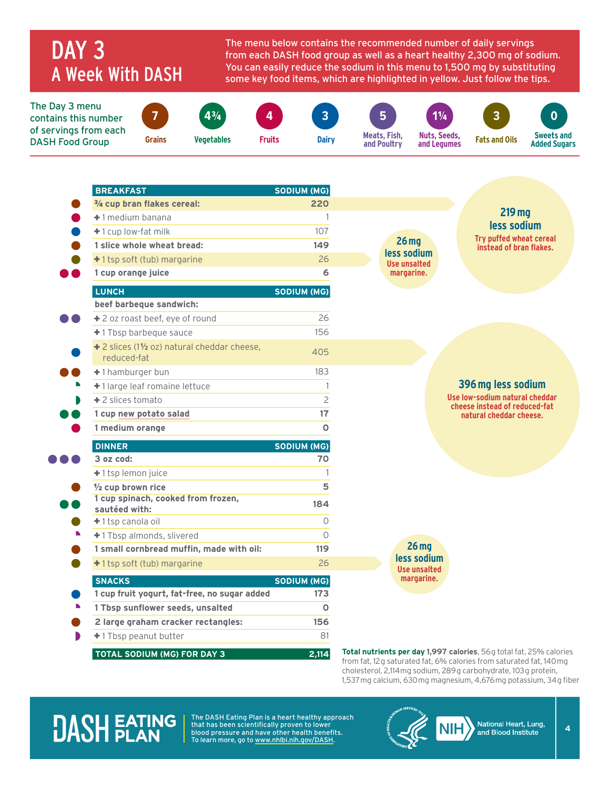### DAY<sub>3</sub> A Week With DASH

The menu below contains the recommended number of daily servings from each DASH food group as well as a heart healthy 2,300 mg of sodium. You can easily reduce the sodium in this menu to 1,500 mg by substituting some key food items, which are highlighted in yellow. Just follow the tips.



| <b>BREAKFAST</b>                                            | SODIUM (MG)    |                             |                                                                     |  |
|-------------------------------------------------------------|----------------|-----------------------------|---------------------------------------------------------------------|--|
| 3/4 cup bran flakes cereal:                                 | 220            |                             |                                                                     |  |
| +1 medium banana                                            | $\mathbf{1}$   |                             | 219 <sub>mg</sub><br>less sodium                                    |  |
| +1 cup low-fat milk                                         | 107            |                             | Try puffed wheat cereal                                             |  |
| 1 slice whole wheat bread:                                  | 149            | $26$ mg<br>less sodium      | instead of bran flakes.                                             |  |
| +1 tsp soft (tub) margarine                                 | 26             | <b>Use unsalted</b>         |                                                                     |  |
| 1 cup orange juice                                          | 6              | margarine.                  |                                                                     |  |
| <b>LUNCH</b>                                                | SODIUM (MG)    |                             |                                                                     |  |
| beef barbeque sandwich:                                     |                |                             |                                                                     |  |
| +2 oz roast beef, eye of round                              | 26             |                             |                                                                     |  |
| +1 Tbsp barbeque sauce                                      | 156            |                             |                                                                     |  |
| + 2 slices (11/2 oz) natural cheddar cheese,<br>reduced-fat | 405            |                             |                                                                     |  |
| +1 hamburger bun                                            | 183            |                             |                                                                     |  |
| +1 large leaf romaine lettuce                               | 1              |                             | 396 mg less sodium                                                  |  |
| $+$ 2 slices tomato                                         | $\overline{c}$ |                             | Use low-sodium natural cheddar                                      |  |
| 1 cup new potato salad                                      | 17             |                             | cheese instead of reduced-fat<br>natural cheddar cheese.            |  |
| 1 medium orange                                             | O              |                             |                                                                     |  |
| <b>DINNER</b>                                               | SODIUM (MG)    |                             |                                                                     |  |
| 3 oz cod:                                                   | 70             |                             |                                                                     |  |
| +1 tsp lemon juice                                          | $\mathbf{1}$   |                             |                                                                     |  |
| 1/2 cup brown rice                                          | 5              |                             |                                                                     |  |
| 1 cup spinach, cooked from frozen,<br>sautéed with:         | 184            |                             |                                                                     |  |
| +1 tsp canola oil                                           | $\circ$        |                             |                                                                     |  |
| +1 Tbsp almonds, slivered                                   | $\bigcap$      |                             |                                                                     |  |
| 1 small cornbread muffin, made with oil:                    | 119            | 26 <sub>mg</sub>            |                                                                     |  |
| +1 tsp soft (tub) margarine                                 | 26             | less sodium<br>Use unsalted |                                                                     |  |
| <b>SNACKS</b>                                               | SODIUM (MG)    | margarine.                  |                                                                     |  |
| 1 cup fruit yogurt, fat-free, no sugar added                | 173            |                             |                                                                     |  |
| 1 Tbsp sunflower seeds, unsalted                            | $\mathbf{o}$   |                             |                                                                     |  |
| 2 large graham cracker rectangles:                          | 156            |                             |                                                                     |  |
| +1 Tbsp peanut butter                                       | 81             |                             |                                                                     |  |
| TOTAL SODIUM (MG) FOR DAY 3                                 | 2,114          |                             | Total nutrients per day 1,997 calories, 56g total fat, 25% calories |  |

from fat, 12 g saturated fat, 6% calories from saturated fat, 140 mg cholesterol, 2,114 mg sodium, 289 g carbohydrate, 103 g protein, 1,537 mg calcium, 630 mg magnesium, 4,676 mg potassium, 34 g fiber

### **DASH EATING**

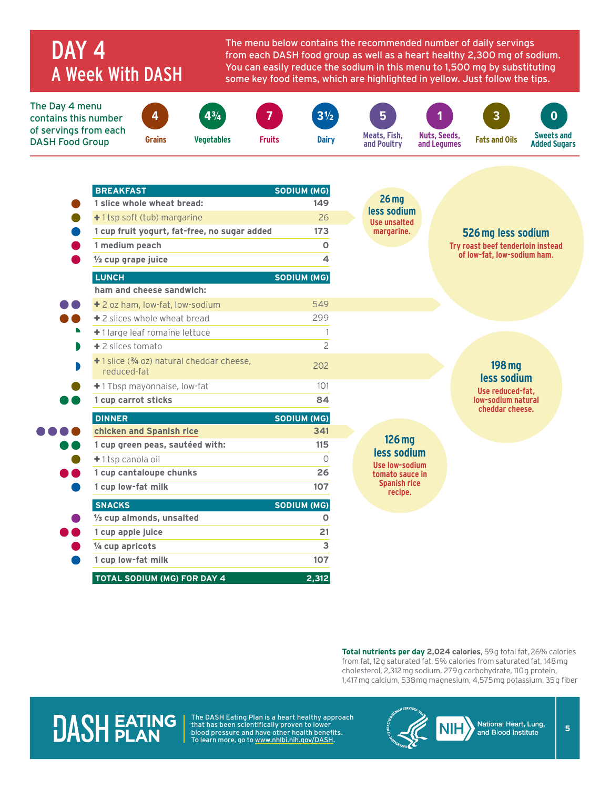### DAY<sub>4</sub> A Week With DASH

The menu below contains the recommended number of daily servings from each DASH food group as well as a heart healthy 2,300 mg of sodium. You can easily reduce the sodium in this menu to 1,500 mg by substituting some key food items, which are highlighted in yellow. Just follow the tips.

The Day 4 menu contains this number of servings from each DASH Food Group **4 Grains 4**¾ **Vegetables 7 Fruits 3**½ **Dairy 5 Meats, Fish, and Poultry 1 Nuts, Seeds, and Legumes 3 Fats and Oils 0 Sweets and Added Sugars**

| <b>BREAKFAST</b>                                         | <b>SODIUM (MG)</b> |                                 |                                                                 |
|----------------------------------------------------------|--------------------|---------------------------------|-----------------------------------------------------------------|
| 1 slice whole wheat bread:                               | 149                | 26 <sub>mg</sub><br>less sodium |                                                                 |
| +1 tsp soft (tub) margarine                              | 26                 | <b>Use unsalted</b>             |                                                                 |
| 1 cup fruit yogurt, fat-free, no sugar added             | 173                | margarine.                      | 526 mg less sodium                                              |
| 1 medium peach                                           | $\mathbf 0$        |                                 | Try roast beef tenderloin instead                               |
| $\frac{1}{2}$ cup grape juice                            | 4                  |                                 | of low-fat, low-sodium ham.                                     |
| <b>LUNCH</b>                                             | SODIUM (MG)        |                                 |                                                                 |
| ham and cheese sandwich:                                 |                    |                                 |                                                                 |
| + 2 oz ham, low-fat, low-sodium                          | 549                |                                 |                                                                 |
| +2 slices whole wheat bread                              | 299                |                                 |                                                                 |
| +1 large leaf romaine lettuce                            | $\mathbf{1}$       |                                 |                                                                 |
| +2 slices tomato                                         | $\overline{c}$     |                                 |                                                                 |
| +1 slice (3/4 oz) natural cheddar cheese,<br>reduced-fat | 202                |                                 | 198 mg<br>less sodium<br>Use reduced-fat,<br>low-sodium natural |
| +1 Tbsp mayonnaise, low-fat                              | 101                |                                 |                                                                 |
| 1 cup carrot sticks                                      | 84                 |                                 |                                                                 |
| <b>DINNER</b>                                            | SODIUM (MG)        |                                 | cheddar cheese.                                                 |
| chicken and Spanish rice                                 | 341                |                                 |                                                                 |
| 1 cup green peas, sautéed with:                          | 115                | $126$ mg<br>less sodium         |                                                                 |
| +1 tsp canola oil                                        | $\Omega$           | Use low-sodium                  |                                                                 |
| 1 cup cantaloupe chunks                                  | 26                 | tomato sauce in                 |                                                                 |
| 1 cup low-fat milk                                       | 107                | <b>Spanish rice</b><br>recipe.  |                                                                 |
| <b>SNACKS</b>                                            | SODIUM (MG)        |                                 |                                                                 |
| 1/ <sub>3</sub> cup almonds, unsalted                    | O                  |                                 |                                                                 |
|                                                          |                    |                                 |                                                                 |
| 1 cup apple juice                                        | 21                 |                                 |                                                                 |
| 1/4 cup apricots                                         | 3                  |                                 |                                                                 |

**Total nutrients per day 2,024 calories**, 59g total fat, 26% calories from fat, 12 g saturated fat, 5% calories from saturated fat, 148 mg cholesterol, 2,312 mg sodium, 279 g carbohydrate, 110 g protein, 1,417 mg calcium, 538 mg magnesium, 4,575 mg potassium, 35 g fiber

### **DASH EATING**

 $\blacksquare$ 

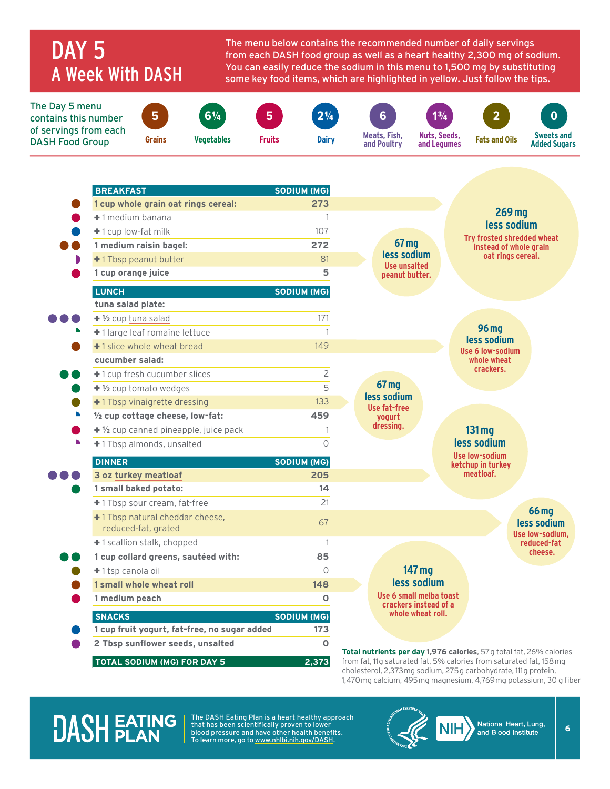### DAY<sub>5</sub> A Week With DASH

**tuna salad plate:**

**cucumber salad:**

) A

+ **½** cup [tuna salad](https://healthyeating.nhlbi.nih.gov/recipedetail.aspx?cId=0&rId=267) 171 + 1 large leaf romaine lettuce 1 +1 slice whole wheat bread 149

+ 1 cup fresh cucumber slices 2 +  $\frac{1}{2}$  cup tomato wedges 5 +1 Tbsp vinaigrette dressing 133

½ **cup cottage cheese, low-fat: 459** + **½** cup canned pineapple, juice pack 1 + 1 Tbsp almonds, unsalted 0 **DINNER SODIUM (MG) 3 oz [turkey meatloaf](https://healthyeating.nhlbi.nih.gov/recipedetail.aspx?cId=0&rId=187) 205**

**1 small baked potato: 14** + 1 Tbsp sour cream, fat-free 21

reduced-fat, grated 67

+ 1 scallion stalk, chopped 1 **1 cup collard greens, sautéed with: 85** + 1 tsp canola oil 0 **1 small whole wheat roll 148**

**1 medium peach 0 SNACKS SODIUM (MG) 1 cup fruit yogurt, fat-free, no sugar added 173 2 Tbsp sunflower seeds, unsalted 0 TOTAL SODIUM (MG) FOR DAY 5 2,373**

+ 1 Tbsp natural cheddar cheese,

The menu below contains the recommended number of daily servings from each DASH food group as well as a heart healthy 2,300 mg of sodium. You can easily reduce the sodium in this menu to 1,500 mg by substituting some key food items, which are highlighted in yellow. Just follow the tips.

> **67 mg less sodium Use fat-free yogurt dressing.**



| <b>96 mg</b>     |
|------------------|
| less sodium      |
| Use 6 low-sodium |
| whole wheat      |
| crackers.        |

**131 mg less sodium**

**Use low-sodium ketchup in turkey meatloaf.**

> **66 mg less sodium Use low-sodium, reduced-fat cheese.**

**147 mg less sodium Use 6 small melba toast crackers instead of a whole wheat roll.**

**Total nutrients per day 1,976 calories**, 57 g total fat, 26% calories from fat, 11g saturated fat, 5% calories from saturated fat, 158 mg cholesterol, 2,373 mg sodium, 275 g carbohydrate, 111 g protein, 1,470 mg calcium, 495 mg magnesium, 4,769 mg potassium, 30 g fiber

### **DASH FATING**

The DASH Eating Plan is a heart healthy approach that has been scientifically proven to lower blood pressure and have other health benefits. To learn more, go to [www.nhlbi.nih.gov/DASH.](http://www.nhlbi.nih.gov/DASH)



**6**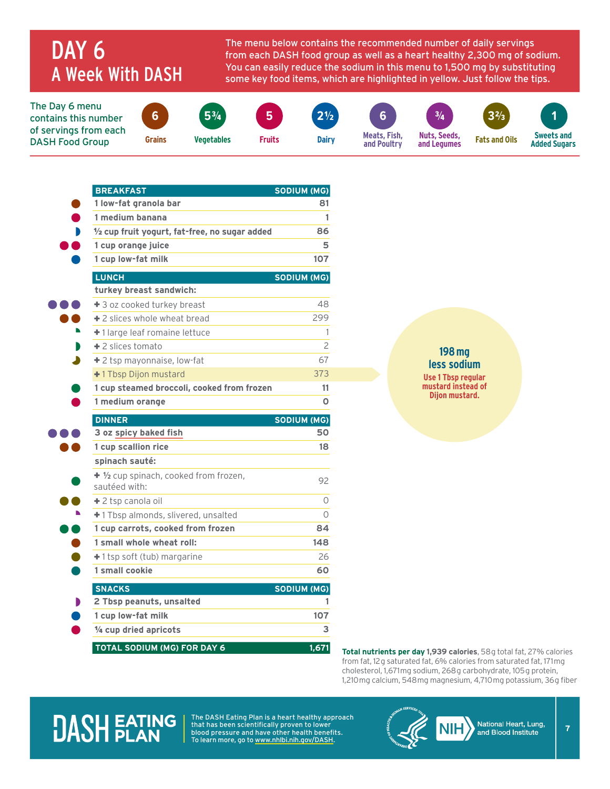### DAY<sub>6</sub> A Week With DASH

The menu below contains the recommended number of daily servings from each DASH food group as well as a heart healthy 2,300 mg of sodium. You can easily reduce the sodium in this menu to 1,500 mg by substituting some key food items, which are highlighted in yellow. Just follow the tips.

The Day 6 menu contains this number of servings from each DASH Food Group **6 Grains**



**5**¾

**Vegetables** 

**5**

**Fruits**







**3**⅔ **Fats and Oils**



**BREAKFAST SODIUM (MG) 1 low-fat granola bar 81 1 medium banana 1** ½ **cup fruit yogurt, fat-free, no sugar added 86 1 cup orange juice 5 1 cup low-fat milk 107 LUNCH SODIUM (MG) turkey breast sandwich:** + 3 oz cooked turkey breast 48 + 2 slices whole wheat bread 299 + 1 large leaf romaine lettuce 1 + 2 slices tomato 2 + 2 tsp mayonnaise, low-fat 67 + 1 Tbsp Dijon mustard 373 **Dijon mustard. 1 cup steamed broccoli, cooked from frozen <sup>11</sup> 1 medium orange 0 DINNER SODIUM (MG) 3 oz [spicy baked fish](https://healthyeating.nhlbi.nih.gov/recipedetail.aspx?cId=0&rId=257) 50 1 cup scallion rice 18 spinach sauté:** + **½** cup spinach, cooked from frozen, sautéed with:  $\frac{1}{2}$  sautéed with: + 2 tsp canola oil 0 + 1 Tbsp almonds, slivered, unsalted 0 **1 cup carrots, cooked from frozen 84 1 small whole wheat roll: 148** + 1 tsp soft (tub) margarine 26 **1 small cookie 60 SNACKS SODIUM (MG) 2 Tbsp peanuts, unsalted 1 1 cup low-fat milk 107** ¼ **cup dried apricots 3 TOTAL SODIUM (MG) FOR DAY 6 1,671 Total nutrients per day 1,939 calories**, 58 g total fat, 27% calories

#### **198 mg less sodium Use 1 Tbsp regular mustard instead of**

from fat, 12 g saturated fat, 6% calories from saturated fat, 171 mg cholesterol, 1,671 mg sodium, 268 g carbohydrate, 105 g protein, 1,210 mg calcium, 548 mg magnesium, 4,710 mg potassium, 36 g fiber

## **DASH FATING**